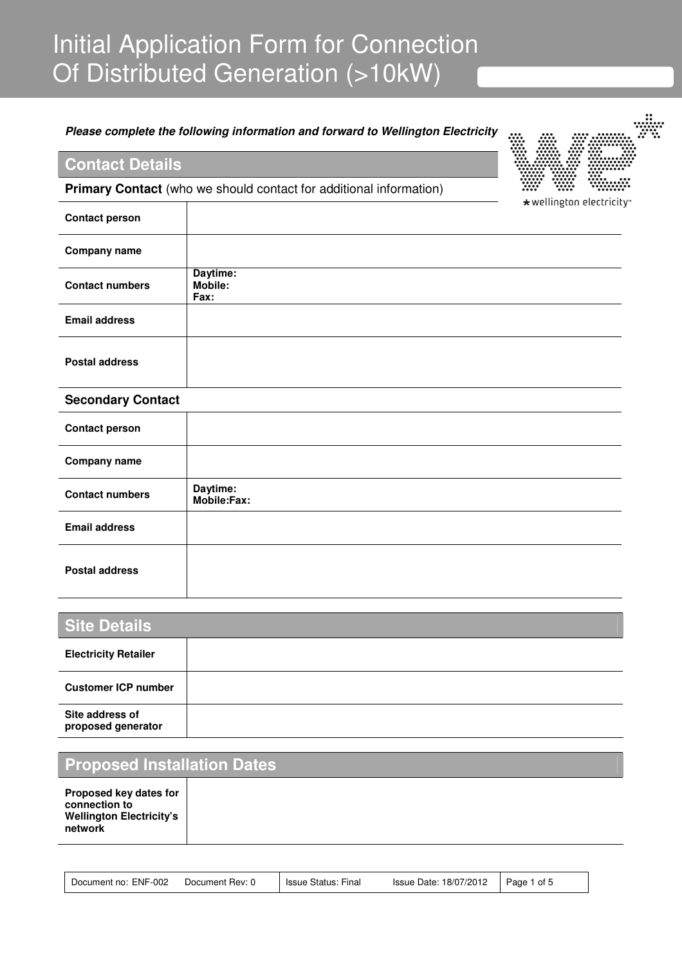# Initial Application Form for Connection Of Distributed Generation (>10kW)

#### **Please complete the following information and forward to Wellington Electricity**

## **Contact Details**

**Primary Contact** (who we should contact for additional information)



\*wellington electricity

| <b>Contact person</b>  |                                    |
|------------------------|------------------------------------|
| <b>Company name</b>    |                                    |
| <b>Contact numbers</b> | Daytime:<br><b>Mobile:</b><br>Fax: |
| <b>Email address</b>   |                                    |
| <b>Postal address</b>  |                                    |

#### **Secondary Contact**

| <b>Contact person</b>  |                         |
|------------------------|-------------------------|
| <b>Company name</b>    |                         |
| <b>Contact numbers</b> | Daytime:<br>Mobile:Fax: |
| <b>Email address</b>   |                         |
| <b>Postal address</b>  |                         |

| <b>Site Details</b>                   |  |  |
|---------------------------------------|--|--|
| <b>Electricity Retailer</b>           |  |  |
| <b>Customer ICP number</b>            |  |  |
| Site address of<br>proposed generator |  |  |

# **Proposed Installation Dates**

**Proposed key dates for connection to Wellington Electricity's network** 

| Document no: ENF-002 | <b>Issue Status: Final</b><br>Document Rev: 0 | Issue Date: 18/07/2012 | Page 1 of 5 |  |
|----------------------|-----------------------------------------------|------------------------|-------------|--|
|----------------------|-----------------------------------------------|------------------------|-------------|--|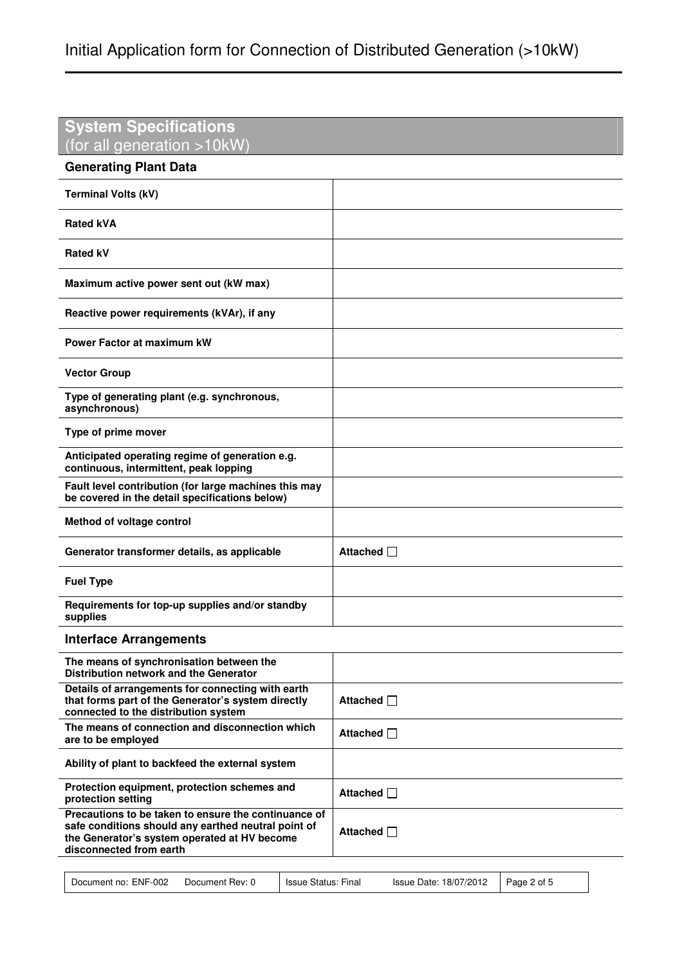| <b>System Specifications</b><br>(for all generation >10kW)                                                                                                                             |                 |
|----------------------------------------------------------------------------------------------------------------------------------------------------------------------------------------|-----------------|
| <b>Generating Plant Data</b>                                                                                                                                                           |                 |
| <b>Terminal Volts (kV)</b>                                                                                                                                                             |                 |
| <b>Rated kVA</b>                                                                                                                                                                       |                 |
| <b>Rated kV</b>                                                                                                                                                                        |                 |
| Maximum active power sent out (kW max)                                                                                                                                                 |                 |
| Reactive power requirements (kVAr), if any                                                                                                                                             |                 |
| Power Factor at maximum kW                                                                                                                                                             |                 |
| <b>Vector Group</b>                                                                                                                                                                    |                 |
| Type of generating plant (e.g. synchronous,<br>asynchronous)                                                                                                                           |                 |
| Type of prime mover                                                                                                                                                                    |                 |
| Anticipated operating regime of generation e.g.<br>continuous, intermittent, peak lopping                                                                                              |                 |
| Fault level contribution (for large machines this may<br>be covered in the detail specifications below)                                                                                |                 |
| Method of voltage control                                                                                                                                                              |                 |
| Generator transformer details, as applicable                                                                                                                                           | Attached $\Box$ |
| <b>Fuel Type</b>                                                                                                                                                                       |                 |
| Requirements for top-up supplies and/or standby<br>supplies                                                                                                                            |                 |
| <b>Interface Arrangements</b>                                                                                                                                                          |                 |
| The means of synchronisation between the<br>Distribution network and the Generator                                                                                                     |                 |
| Details of arrangements for connecting with earth<br>that forms part of the Generator's system directly<br>connected to the distribution system                                        | Attached □      |
| The means of connection and disconnection which<br>are to be employed                                                                                                                  | Attached $\Box$ |
| Ability of plant to backfeed the external system                                                                                                                                       |                 |
| Protection equipment, protection schemes and<br>protection setting                                                                                                                     | Attached $\Box$ |
| Precautions to be taken to ensure the continuance of<br>safe conditions should any earthed neutral point of<br>the Generator's system operated at HV become<br>disconnected from earth | Attached □      |
|                                                                                                                                                                                        |                 |

| Document no: ENF-002 | Document Rev: 0 | <b>Issue Status: Final</b> | Issue Date: 18/07/2012 | $P$ age 2 of 5 |
|----------------------|-----------------|----------------------------|------------------------|----------------|
|----------------------|-----------------|----------------------------|------------------------|----------------|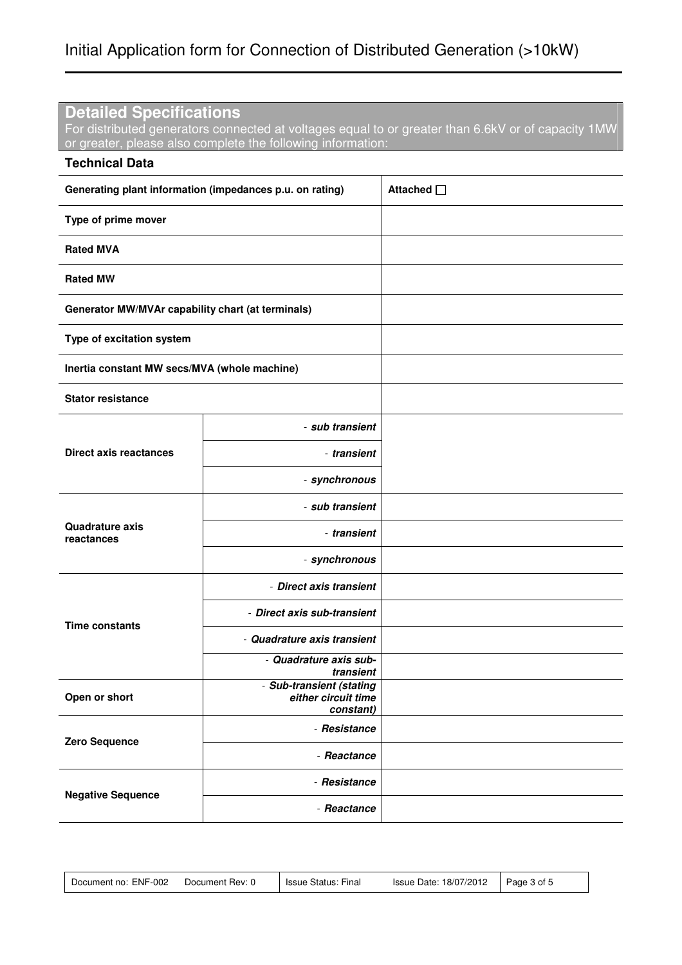### **Detailed Specifications**

For distributed generators connected at voltages equal to or greater than 6.6kV or of capacity 1MW or greater, please also complete the following information:

| <b>Technical Data</b>                                                         |                                     |            |  |
|-------------------------------------------------------------------------------|-------------------------------------|------------|--|
| Generating plant information (impedances p.u. on rating)                      |                                     | Attached □ |  |
| Type of prime mover                                                           |                                     |            |  |
| <b>Rated MVA</b>                                                              |                                     |            |  |
| <b>Rated MW</b>                                                               |                                     |            |  |
| Generator MW/MVAr capability chart (at terminals)                             |                                     |            |  |
| Type of excitation system                                                     |                                     |            |  |
| Inertia constant MW secs/MVA (whole machine)                                  |                                     |            |  |
| <b>Stator resistance</b>                                                      |                                     |            |  |
|                                                                               | - sub transient                     |            |  |
| <b>Direct axis reactances</b>                                                 | - transient                         |            |  |
|                                                                               | - synchronous                       |            |  |
|                                                                               | - sub transient                     |            |  |
| <b>Quadrature axis</b><br>reactances                                          | - transient                         |            |  |
|                                                                               | - synchronous                       |            |  |
|                                                                               | - Direct axis transient             |            |  |
| <b>Time constants</b>                                                         | - Direct axis sub-transient         |            |  |
|                                                                               | - Quadrature axis transient         |            |  |
|                                                                               | - Quadrature axis sub-<br>transient |            |  |
| - Sub-transient (stating<br>either circuit time<br>Open or short<br>constant) |                                     |            |  |
|                                                                               | - Resistance                        |            |  |
| Zero Sequence                                                                 | - Reactance                         |            |  |
| <b>Negative Sequence</b>                                                      | - Resistance                        |            |  |
|                                                                               | - Reactance                         |            |  |

| Document no: ENF-002<br>Document Rev: 0 | Issue Status: Final | Issue Date: 18/07/2012 | Page 3 of 5 |  |
|-----------------------------------------|---------------------|------------------------|-------------|--|
|-----------------------------------------|---------------------|------------------------|-------------|--|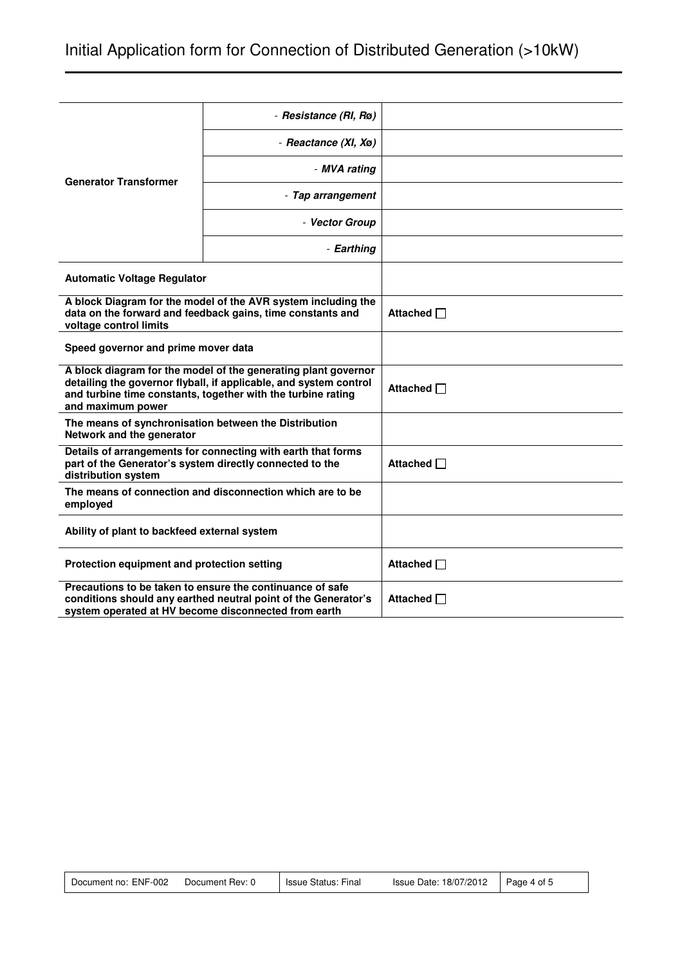|                                                                                                                                                                                                                          | - Resistance (RI, Rø)                                                                                                       |                 |
|--------------------------------------------------------------------------------------------------------------------------------------------------------------------------------------------------------------------------|-----------------------------------------------------------------------------------------------------------------------------|-----------------|
|                                                                                                                                                                                                                          | - Reactance (XI, Xø)                                                                                                        |                 |
| <b>Generator Transformer</b>                                                                                                                                                                                             | - MVA rating                                                                                                                |                 |
|                                                                                                                                                                                                                          | - Tap arrangement                                                                                                           |                 |
|                                                                                                                                                                                                                          | - Vector Group                                                                                                              |                 |
|                                                                                                                                                                                                                          | - Earthing                                                                                                                  |                 |
| <b>Automatic Voltage Regulator</b>                                                                                                                                                                                       |                                                                                                                             |                 |
| voltage control limits                                                                                                                                                                                                   | A block Diagram for the model of the AVR system including the<br>data on the forward and feedback gains, time constants and | Attached □      |
| Speed governor and prime mover data                                                                                                                                                                                      |                                                                                                                             |                 |
| A block diagram for the model of the generating plant governor<br>detailing the governor flyball, if applicable, and system control<br>and turbine time constants, together with the turbine rating<br>and maximum power |                                                                                                                             | Attached $\Box$ |
| The means of synchronisation between the Distribution<br>Network and the generator                                                                                                                                       |                                                                                                                             |                 |
| Details of arrangements for connecting with earth that forms<br>part of the Generator's system directly connected to the<br>distribution system                                                                          |                                                                                                                             | Attached $\Box$ |
| The means of connection and disconnection which are to be<br>employed                                                                                                                                                    |                                                                                                                             |                 |
| Ability of plant to backfeed external system                                                                                                                                                                             |                                                                                                                             |                 |
| Protection equipment and protection setting                                                                                                                                                                              |                                                                                                                             | Attached $\Box$ |
| Precautions to be taken to ensure the continuance of safe<br>conditions should any earthed neutral point of the Generator's<br>system operated at HV become disconnected from earth                                      |                                                                                                                             | Attached □      |